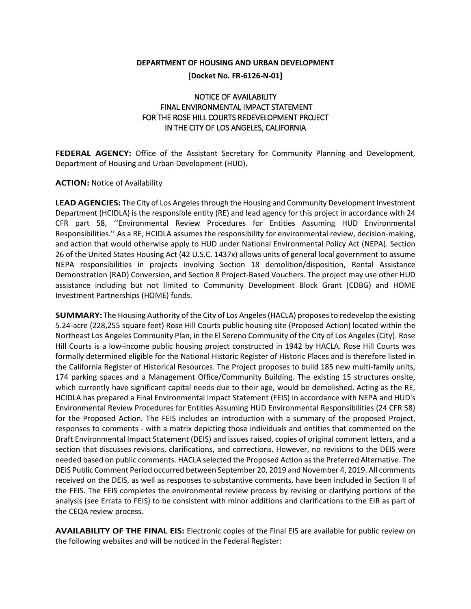## **DEPARTMENT OF HOUSING AND URBAN DEVELOPMENT**

**[Docket No. FR-6126-N-01]**

## NOTICE OF AVAILABILITY FINAL ENVIRONMENTAL IMPACT STATEMENT FOR THE ROSE HILL COURTS REDEVELOPMENT PROJECT IN THE CITY OF LOS ANGELES, CALIFORNIA

**FEDERAL AGENCY:** Office of the Assistant Secretary for Community Planning and Development, Department of Housing and Urban Development (HUD).

## **ACTION:** Notice of Availability

**LEAD AGENCIES:** The City of Los Angeles through the Housing and Community Development Investment Department (HCIDLA) is the responsible entity (RE) and lead agency for this project in accordance with 24 CFR part 58, ''Environmental Review Procedures for Entities Assuming HUD Environmental Responsibilities.'' As a RE, HCIDLA assumes the responsibility for environmental review, decision-making, and action that would otherwise apply to HUD under National Environmental Policy Act (NEPA). Section 26 of the United States Housing Act (42 U.S.C. 1437x) allows units of general local government to assume NEPA responsibilities in projects involving Section 18 demolition/disposition, Rental Assistance Demonstration (RAD) Conversion, and Section 8 Project-Based Vouchers. The project may use other HUD assistance including but not limited to Community Development Block Grant (CDBG) and HOME Investment Partnerships (HOME) funds.

**SUMMARY:**The Housing Authority of the City of Los Angeles (HACLA) proposes to redevelop the existing 5.24-acre (228,255 square feet) Rose Hill Courts public housing site (Proposed Action) located within the Northeast Los Angeles Community Plan, in the El Sereno Community of the City of Los Angeles (City). Rose Hill Courts is a low-income public housing project constructed in 1942 by HACLA. Rose Hill Courts was formally determined eligible for the National Historic Register of Historic Places and is therefore listed in the California Register of Historical Resources. The Project proposes to build 185 new multi-family units, 174 parking spaces and a Management Office/Community Building. The existing 15 structures onsite, which currently have significant capital needs due to their age, would be demolished. Acting as the RE, HCIDLA has prepared a Final Environmental Impact Statement (FEIS) in accordance with NEPA and HUD's Environmental Review Procedures for Entities Assuming HUD Environmental Responsibilities (24 CFR 58) for the Proposed Action. The FEIS includes an introduction with a summary of the proposed Project, responses to comments - with a matrix depicting those individuals and entities that commented on the Draft Environmental Impact Statement (DEIS) and issues raised, copies of original comment letters, and a section that discusses revisions, clarifications, and corrections. However, no revisions to the DEIS were needed based on public comments. HACLA selected the Proposed Action as the Preferred Alternative. The DEIS Public Comment Period occurred between September 20, 2019 and November 4, 2019. All comments received on the DEIS, as well as responses to substantive comments, have been included in Section II of the FEIS. The FEIS completes the environmental review process by revising or clarifying portions of the analysis (see Errata to FEIS) to be consistent with minor additions and clarifications to the EIR as part of the CEQA review process.

**AVAILABILITY OF THE FINAL EIS:** Electronic copies of the Final EIS are available for public review on the following websites and will be noticed in the Federal Register: